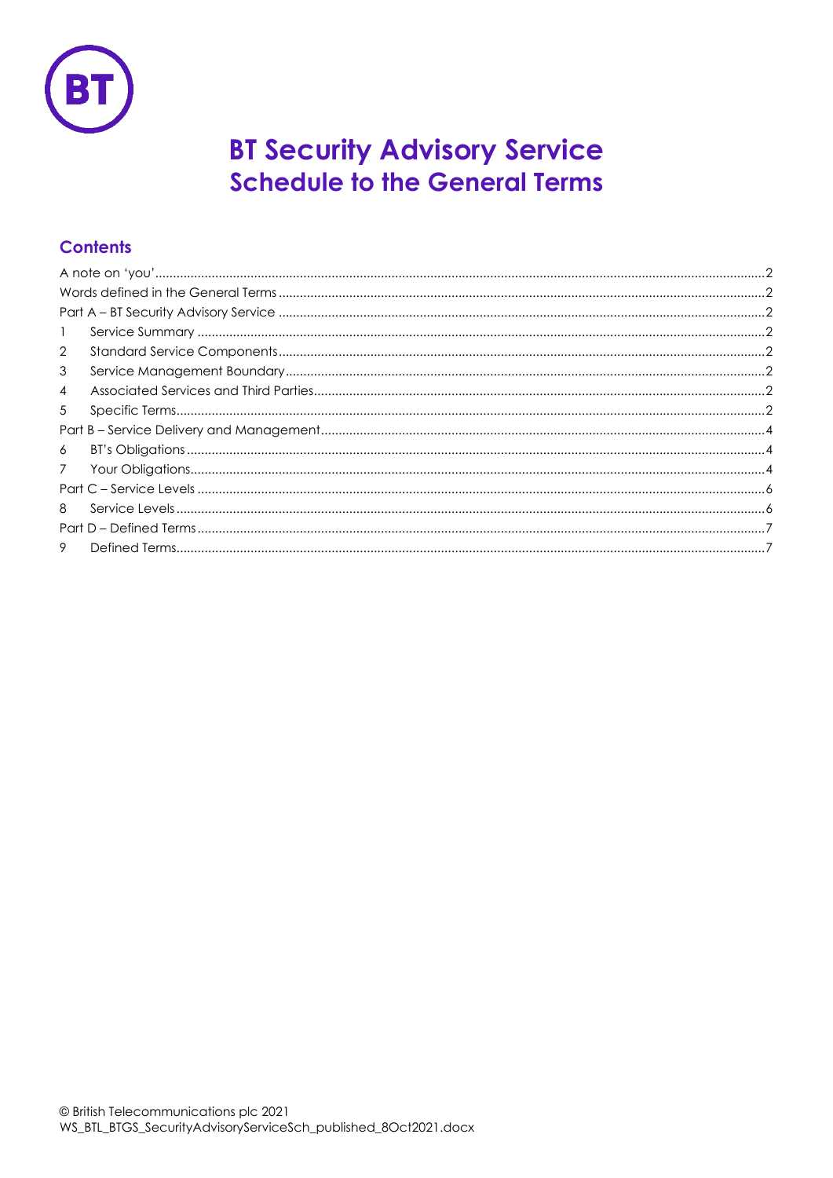

# **BT Security Advisory Service Schedule to the General Terms**

### **Contents**

| $\mathbf{1}$    |  |
|-----------------|--|
| $\overline{2}$  |  |
| 3               |  |
| $\overline{4}$  |  |
| 5               |  |
|                 |  |
| 6               |  |
| $7\overline{ }$ |  |
|                 |  |
| 8               |  |
|                 |  |
| 9               |  |
|                 |  |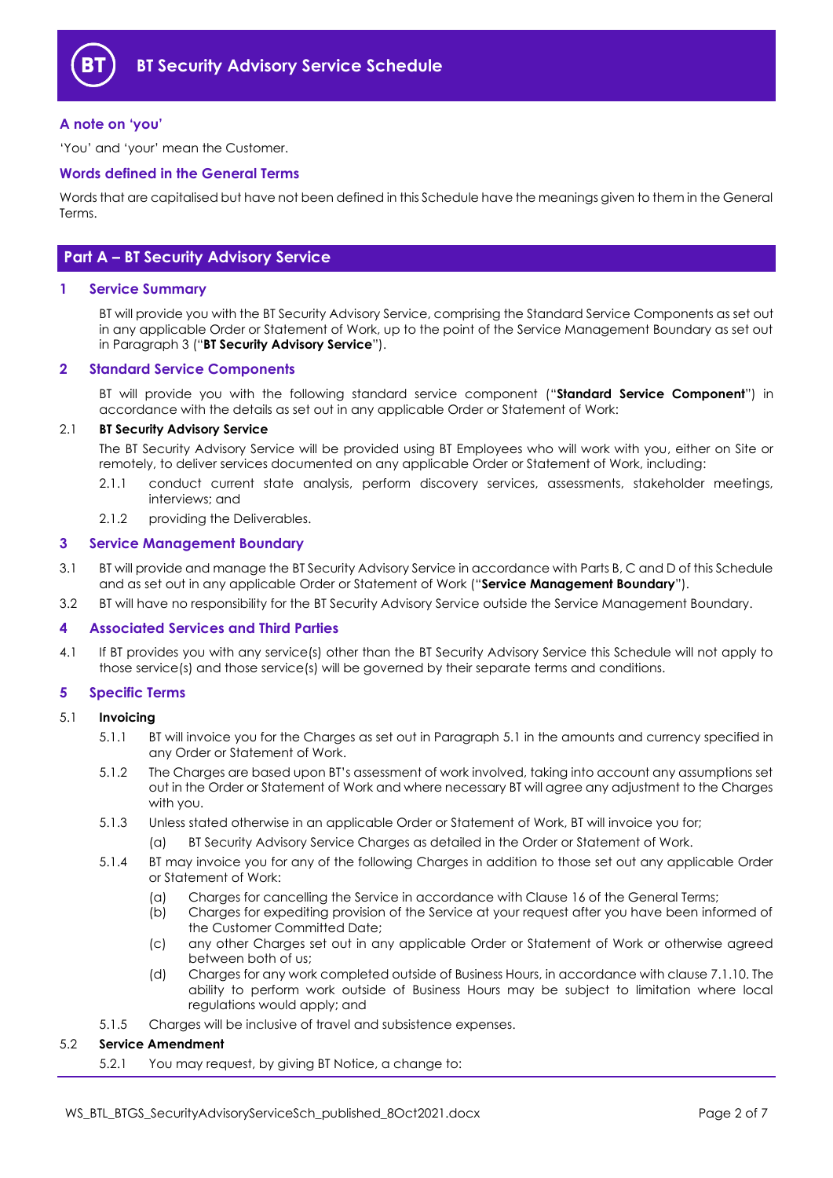

#### <span id="page-1-0"></span>**A note on 'you'**

'You' and 'your' mean the Customer.

#### <span id="page-1-1"></span>**Words defined in the General Terms**

Words that are capitalised but have not been defined in this Schedule have the meanings given to them in the General Terms.

#### <span id="page-1-2"></span>**Part A – BT Security Advisory Service**

#### <span id="page-1-3"></span>**1 Service Summary**

BT will provide you with the BT Security Advisory Service, comprising the Standard Service Components as set out in any applicable Order or Statement of Work, up to the point of the Service Management Boundary as set out in Paragraph [3](#page-1-5) ("**BT Security Advisory Service**").

#### <span id="page-1-4"></span>**2 Standard Service Components**

BT will provide you with the following standard service component ("**Standard Service Component**") in accordance with the details as set out in any applicable Order or Statement of Work:

#### 2.1 **BT Security Advisory Service**

The BT Security Advisory Service will be provided using BT Employees who will work with you, either on Site or remotely, to deliver services documented on any applicable Order or Statement of Work, including:

- 2.1.1 conduct current state analysis, perform discovery services, assessments, stakeholder meetings, interviews; and
- 2.1.2 providing the Deliverables.

#### <span id="page-1-5"></span>**3 Service Management Boundary**

- <span id="page-1-10"></span>3.1 BT will provide and manage the BT Security Advisory Service in accordance with Parts B, C and D of this Schedule and as set out in any applicable Order or Statement of Work ("**Service Management Boundary**").
- 3.2 BT will have no responsibility for the BT Security Advisory Service outside the Service Management Boundary.

#### <span id="page-1-6"></span>**4 Associated Services and Third Parties**

4.1 If BT provides you with any service(s) other than the BT Security Advisory Service this Schedule will not apply to those service(s) and those service(s) will be governed by their separate terms and conditions.

#### <span id="page-1-7"></span>**5 Specific Terms**

#### <span id="page-1-8"></span>5.1 **Invoicing**

- 5.1.1 BT will invoice you for the Charges as set out in Paragraph [5.1](#page-1-8) in the amounts and currency specified in any Order or Statement of Work.
- 5.1.2 The Charges are based upon BT's assessment of work involved, taking into account any assumptions set out in the Order or Statement of Work and where necessary BT will agree any adjustment to the Charges with you.
- 5.1.3 Unless stated otherwise in an applicable Order or Statement of Work, BT will invoice you for;
	- (a) BT Security Advisory Service Charges as detailed in the Order or Statement of Work.
- 5.1.4 BT may invoice you for any of the following Charges in addition to those set out any applicable Order or Statement of Work:
	- (a) Charges for cancelling the Service in accordance with Clause 16 of the General Terms;
	- (b) Charges for expediting provision of the Service at your request after you have been informed of the Customer Committed Date;
	- (c) any other Charges set out in any applicable Order or Statement of Work or otherwise agreed between both of us;
	- (d) Charges for any work completed outside of Business Hours, in accordance with clause [7.1.10.](#page-4-0) The ability to perform work outside of Business Hours may be subject to limitation where local regulations would apply; and
- 5.1.5 Charges will be inclusive of travel and subsistence expenses.

#### <span id="page-1-9"></span>5.2 **Service Amendment**

5.2.1 You may request, by giving BT Notice, a change to: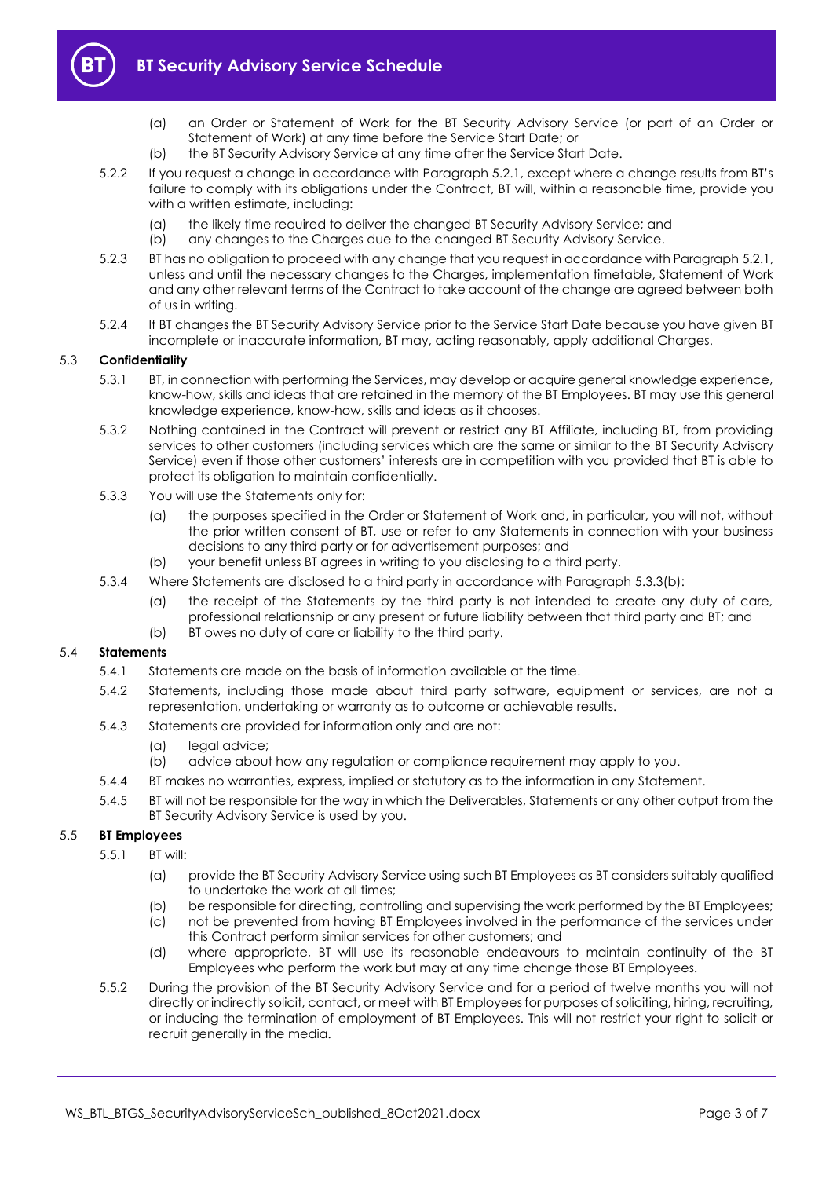

- (a) an Order or Statement of Work for the BT Security Advisory Service (or part of an Order or Statement of Work) at any time before the Service Start Date; or
- (b) the BT Security Advisory Service at any time after the Service Start Date.
- 5.2.2 If you request a change in accordance with Paragrap[h 5.2.1](#page-1-9), except where a change results from BT's failure to comply with its obligations under the Contract, BT will, within a reasonable time, provide you with a written estimate, including:
	- (a) the likely time required to deliver the changed BT Security Advisory Service; and
	- (b) any changes to the Charges due to the changed BT Security Advisory Service.
- 5.2.3 BT has no obligation to proceed with any change that you request in accordance with Paragrap[h 5.2.1,](#page-1-9)  unless and until the necessary changes to the Charges, implementation timetable, Statement of Work and any other relevant terms of the Contract to take account of the change are agreed between both of us in writing.
- 5.2.4 If BT changes the BT Security Advisory Service prior to the Service Start Date because you have given BT incomplete or inaccurate information, BT may, acting reasonably, apply additional Charges.

#### 5.3 **Confidentiality**

- 5.3.1 BT, in connection with performing the Services, may develop or acquire general knowledge experience, know-how, skills and ideas that are retained in the memory of the BT Employees. BT may use this general knowledge experience, know-how, skills and ideas as it chooses.
- 5.3.2 Nothing contained in the Contract will prevent or restrict any BT Affiliate, including BT, from providing services to other customers (including services which are the same or similar to the BT Security Advisory Service) even if those other customers' interests are in competition with you provided that BT is able to protect its obligation to maintain confidentially.
- 5.3.3 You will use the Statements only for:
	- (a) the purposes specified in the Order or Statement of Work and, in particular, you will not, without the prior written consent of BT, use or refer to any Statements in connection with your business decisions to any third party or for advertisement purposes; and
	- (b) your benefit unless BT agrees in writing to you disclosing to a third party.
- <span id="page-2-0"></span>5.3.4 Where Statements are disclosed to a third party in accordance with Paragraph [5.3.3\(b\):](#page-2-0)
	- (a) the receipt of the Statements by the third party is not intended to create any duty of care, professional relationship or any present or future liability between that third party and BT; and
	- (b) BT owes no duty of care or liability to the third party.

#### 5.4 **Statements**

- 5.4.1 Statements are made on the basis of information available at the time.
- 5.4.2 Statements, including those made about third party software, equipment or services, are not a representation, undertaking or warranty as to outcome or achievable results.
- 5.4.3 Statements are provided for information only and are not:
	- (a) legal advice;
	- (b) advice about how any regulation or compliance requirement may apply to you.
- 5.4.4 BT makes no warranties, express, implied or statutory as to the information in any Statement.
- 5.4.5 BT will not be responsible for the way in which the Deliverables, Statements or any other output from the BT Security Advisory Service is used by you.

#### 5.5 **BT Employees**

- 5.5.1 BT will:
	- (a) provide the BT Security Advisory Service using such BT Employees as BT considers suitably qualified to undertake the work at all times;
	- (b) be responsible for directing, controlling and supervising the work performed by the BT Employees;
	- (c) not be prevented from having BT Employees involved in the performance of the services under this Contract perform similar services for other customers; and
	- (d) where appropriate, BT will use its reasonable endeavours to maintain continuity of the BT Employees who perform the work but may at any time change those BT Employees.
- 5.5.2 During the provision of the BT Security Advisory Service and for a period of twelve months you will not directly or indirectly solicit, contact, or meet with BT Employees for purposes of soliciting, hiring, recruiting, or inducing the termination of employment of BT Employees. This will not restrict your right to solicit or recruit generally in the media.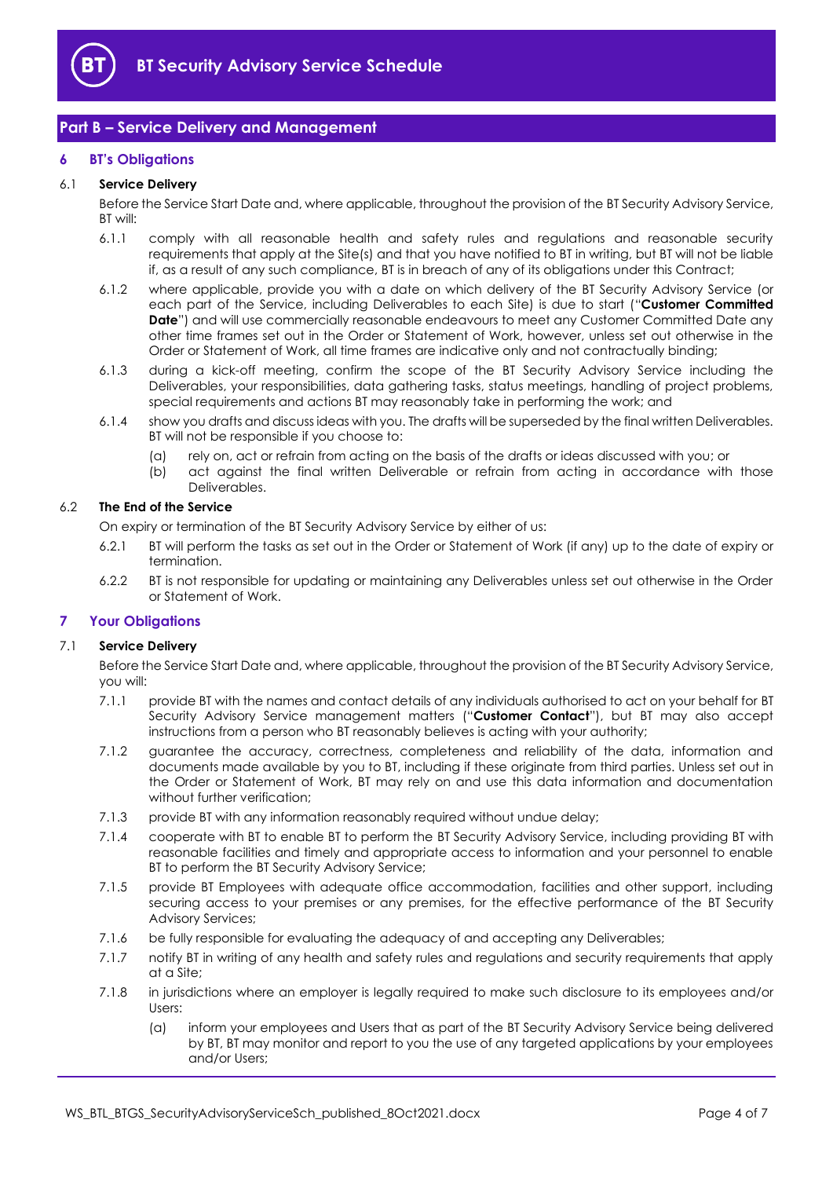

#### <span id="page-3-0"></span>**Part B – Service Delivery and Management**

#### <span id="page-3-1"></span>**6 BT's Obligations**

#### 6.1 **Service Delivery**

Before the Service Start Date and, where applicable, throughout the provision of the BT Security Advisory Service, BT will:

- 6.1.1 comply with all reasonable health and safety rules and regulations and reasonable security requirements that apply at the Site(s) and that you have notified to BT in writing, but BT will not be liable if, as a result of any such compliance, BT is in breach of any of its obligations under this Contract;
- 6.1.2 where applicable, provide you with a date on which delivery of the BT Security Advisory Service (or each part of the Service, including Deliverables to each Site) is due to start ("**Customer Committed Date**") and will use commercially reasonable endeavours to meet any Customer Committed Date any other time frames set out in the Order or Statement of Work, however, unless set out otherwise in the Order or Statement of Work, all time frames are indicative only and not contractually binding;
- 6.1.3 during a kick-off meeting, confirm the scope of the BT Security Advisory Service including the Deliverables, your responsibilities, data gathering tasks, status meetings, handling of project problems, special requirements and actions BT may reasonably take in performing the work; and
- 6.1.4 show you drafts and discuss ideas with you. The drafts will be superseded by the final written Deliverables. BT will not be responsible if you choose to:
	- (a) rely on, act or refrain from acting on the basis of the drafts or ideas discussed with you; or
	- (b) act against the final written Deliverable or refrain from acting in accordance with those Deliverables.

#### 6.2 **The End of the Service**

On expiry or termination of the BT Security Advisory Service by either of us:

- 6.2.1 BT will perform the tasks as set out in the Order or Statement of Work (if any) up to the date of expiry or termination.
- 6.2.2 BT is not responsible for updating or maintaining any Deliverables unless set out otherwise in the Order or Statement of Work.

#### <span id="page-3-2"></span>**7 Your Obligations**

#### 7.1 **Service Delivery**

Before the Service Start Date and, where applicable, throughout the provision of the BT Security Advisory Service, you will:

- 7.1.1 provide BT with the names and contact details of any individuals authorised to act on your behalf for BT Security Advisory Service management matters ("**Customer Contact**"), but BT may also accept instructions from a person who BT reasonably believes is acting with your authority;
- 7.1.2 guarantee the accuracy, correctness, completeness and reliability of the data, information and documents made available by you to BT, including if these originate from third parties. Unless set out in the Order or Statement of Work, BT may rely on and use this data information and documentation without further verification:
- 7.1.3 provide BT with any information reasonably required without undue delay;
- 7.1.4 cooperate with BT to enable BT to perform the BT Security Advisory Service, including providing BT with reasonable facilities and timely and appropriate access to information and your personnel to enable BT to perform the BT Security Advisory Service;
- 7.1.5 provide BT Employees with adequate office accommodation, facilities and other support, including securing access to your premises or any premises, for the effective performance of the BT Security Advisory Services;
- 7.1.6 be fully responsible for evaluating the adequacy of and accepting any Deliverables;
- 7.1.7 notify BT in writing of any health and safety rules and regulations and security requirements that apply at a Site;
- 7.1.8 in jurisdictions where an employer is legally required to make such disclosure to its employees and/or Users:
	- (a) inform your employees and Users that as part of the BT Security Advisory Service being delivered by BT, BT may monitor and report to you the use of any targeted applications by your employees and/or Users;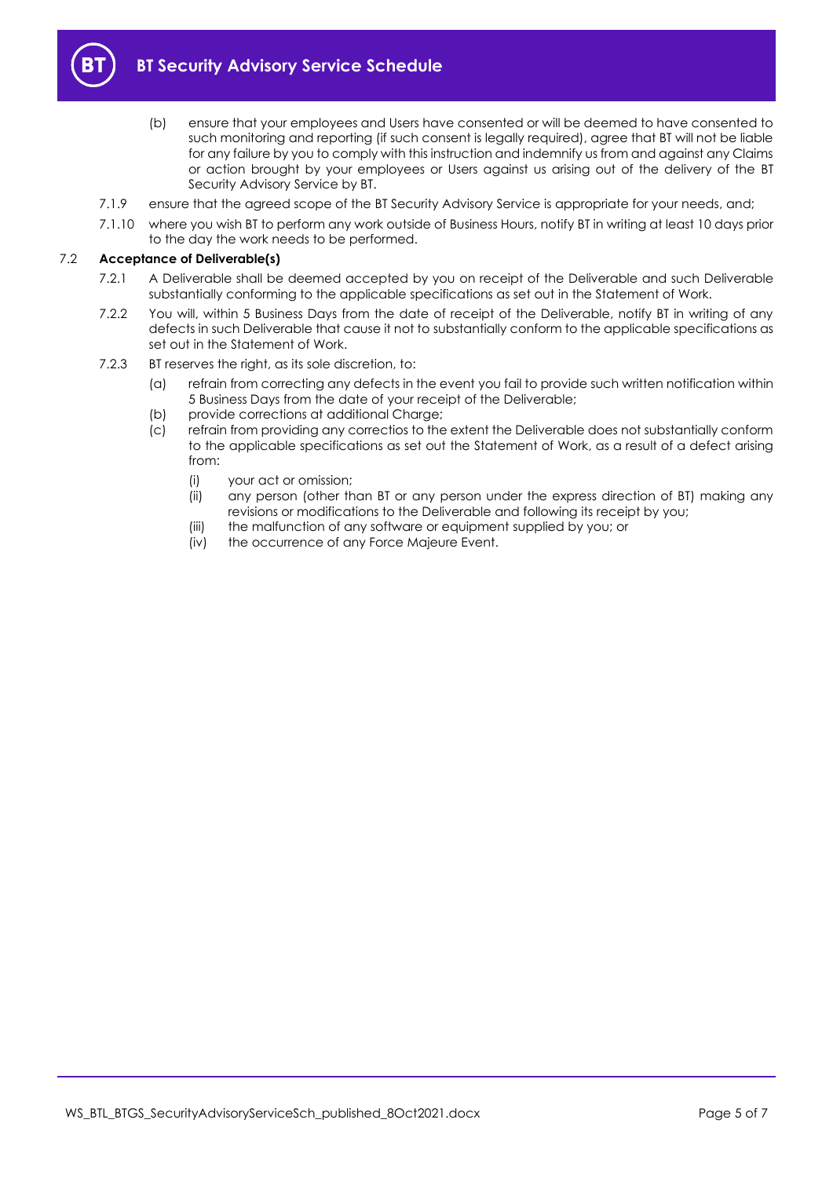

- (b) ensure that your employees and Users have consented or will be deemed to have consented to such monitoring and reporting (if such consent is legally required), agree that BT will not be liable for any failure by you to comply with this instruction and indemnify us from and against any Claims or action brought by your employees or Users against us arising out of the delivery of the BT Security Advisory Service by BT.
- 7.1.9 ensure that the agreed scope of the BT Security Advisory Service is appropriate for your needs, and;
- 7.1.10 where you wish BT to perform any work outside of Business Hours, notify BT in writing at least 10 days prior to the day the work needs to be performed.

#### <span id="page-4-0"></span>7.2 **Acceptance of Deliverable(s)**

- 7.2.1 A Deliverable shall be deemed accepted by you on receipt of the Deliverable and such Deliverable substantially conforming to the applicable specifications as set out in the Statement of Work.
- 7.2.2 You will, within 5 Business Days from the date of receipt of the Deliverable, notify BT in writing of any defects in such Deliverable that cause it not to substantially conform to the applicable specifications as set out in the Statement of Work.
- 7.2.3 BT reserves the right, as its sole discretion, to:
	- (a) refrain from correcting any defects in the event you fail to provide such written notification within 5 Business Days from the date of your receipt of the Deliverable;
	- (b) provide corrections at additional Charge;
	- (c) refrain from providing any correctios to the extent the Deliverable does not substantially conform to the applicable specifications as set out the Statement of Work, as a result of a defect arising from:
		- (i) your act or omission;
		- (ii) any person (other than BT or any person under the express direction of BT) making any revisions or modifications to the Deliverable and following its receipt by you;
		- (iii) the malfunction of any software or equipment supplied by you; or
		- (iv) the occurrence of any Force Majeure Event.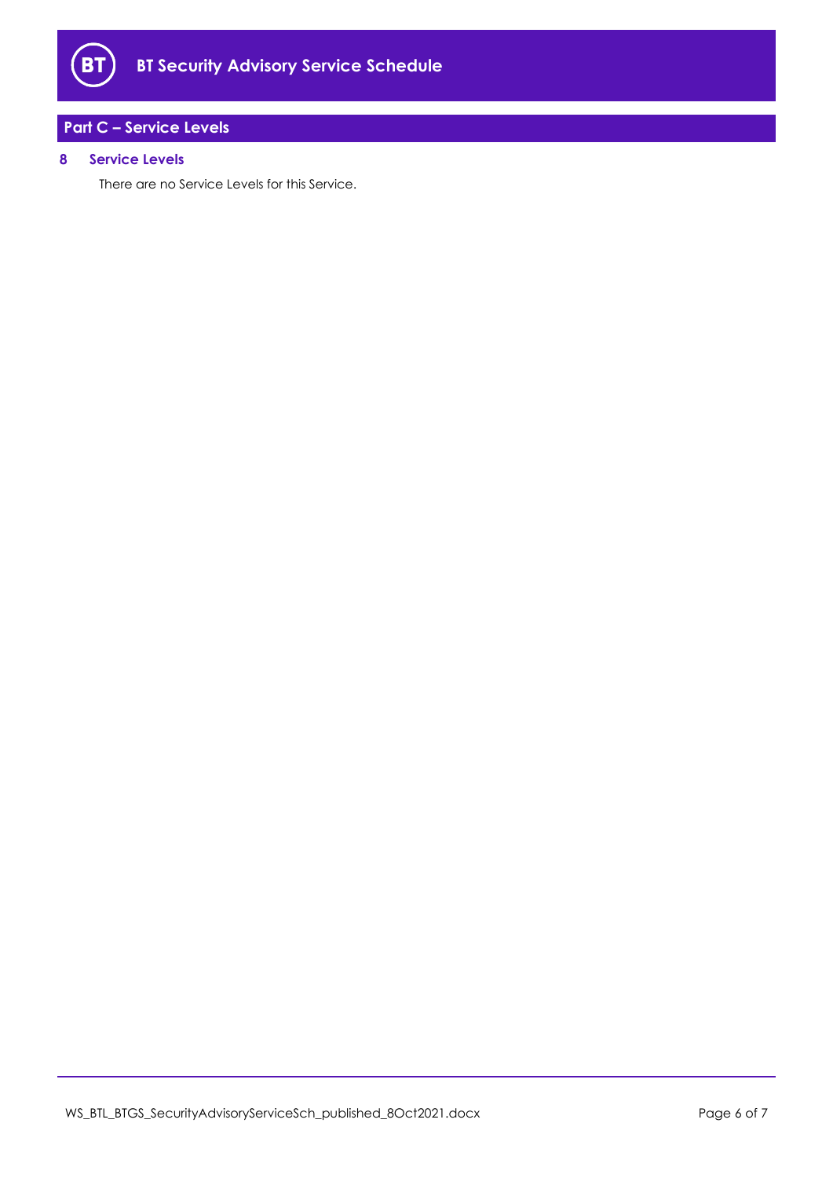

## <span id="page-5-0"></span>**Part C – Service Levels**

#### <span id="page-5-1"></span>**8 Service Levels**

There are no Service Levels for this Service.